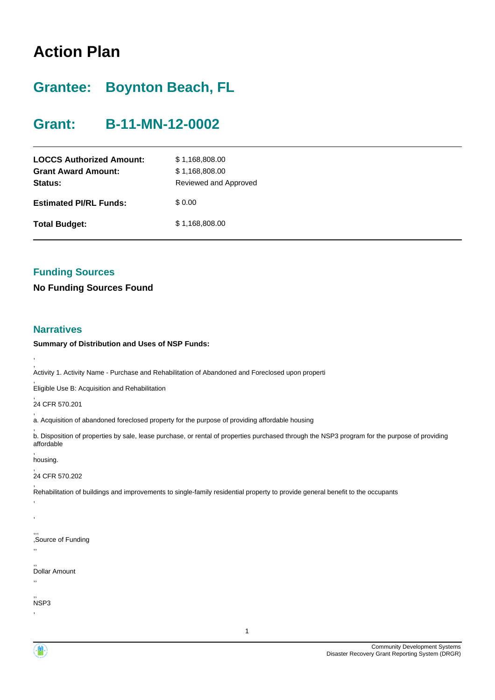# **Action Plan**

# **Grantee: Boynton Beach, FL**

# **Grant: B-11-MN-12-0002**

| <b>LOCCS Authorized Amount:</b><br><b>Grant Award Amount:</b><br>Status: | \$1,168,808.00<br>\$1,168,808.00<br>Reviewed and Approved |
|--------------------------------------------------------------------------|-----------------------------------------------------------|
| <b>Estimated PI/RL Funds:</b>                                            | \$ 0.00                                                   |
| <b>Total Budget:</b>                                                     | \$1,168,808.00                                            |

## **Funding Sources**

**No Funding Sources Found**

### **Narratives**

,

**Summary of Distribution and Uses of NSP Funds:**

, Activity 1. Activity Name - Purchase and Rehabilitation of Abandoned and Foreclosed upon properti

, Eligible Use B: Acquisition and Rehabilitation

, 24 CFR 570.201

, a. Acquisition of abandoned foreclosed property for the purpose of providing affordable housing

, b. Disposition of properties by sale, lease purchase, or rental of properties purchased through the NSP3 program for the purpose of providing affordable ,

housing.

, ,

,,

, 24 CFR 570.202

, Rehabilitation of buildings and improvements to single-family residential property to provide general benefit to the occupants

,,, ,Source of Funding

,, Dollar Amount ,,

,, NSP3

,

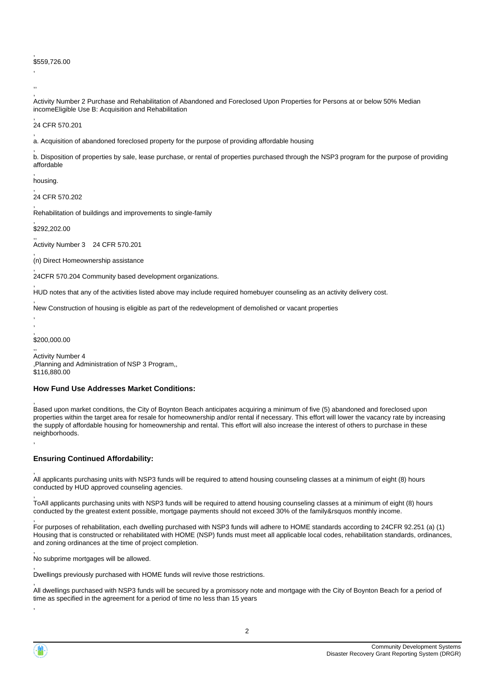#### \$559,726.00

, ,,

,

, Activity Number 2 Purchase and Rehabilitation of Abandoned and Foreclosed Upon Properties for Persons at or below 50% Median incomeEligible Use B: Acquisition and Rehabilitation

, 24 CFR 570.201

, a. Acquisition of abandoned foreclosed property for the purpose of providing affordable housing

, b. Disposition of properties by sale, lease purchase, or rental of properties purchased through the NSP3 program for the purpose of providing affordable

, housing.

, 24 CFR 570.202

, Rehabilitation of buildings and improvements to single-family

, \$292,202.00

,

,

, ,

,

,

,

,

,

,

,, Activity Number 3 24 CFR 570.201

(n) Direct Homeownership assistance

, 24CFR 570.204 Community based development organizations.

HUD notes that any of the activities listed above may include required homebuyer counseling as an activity delivery cost.

, New Construction of housing is eligible as part of the redevelopment of demolished or vacant properties

, \$200,000.00

,, Activity Number 4 ,Planning and Administration of NSP 3 Program,, \$116,880.00

#### **How Fund Use Addresses Market Conditions:**

Based upon market conditions, the City of Boynton Beach anticipates acquiring a minimum of five (5) abandoned and foreclosed upon properties within the target area for resale for homeownership and/or rental if necessary. This effort will lower the vacancy rate by increasing the supply of affordable housing for homeownership and rental. This effort will also increase the interest of others to purchase in these neighborhoods.

#### **Ensuring Continued Affordability:**

All applicants purchasing units with NSP3 funds will be required to attend housing counseling classes at a minimum of eight (8) hours conducted by HUD approved counseling agencies.

, ToAll applicants purchasing units with NSP3 funds will be required to attend housing counseling classes at a minimum of eight (8) hours conducted by the greatest extent possible, mortgage payments should not exceed 30% of the family&rsquos monthly income.

, For purposes of rehabilitation, each dwelling purchased with NSP3 funds will adhere to HOME standards according to 24CFR 92.251 (a) (1) Housing that is constructed or rehabilitated with HOME (NSP) funds must meet all applicable local codes, rehabilitation standards, ordinances, and zoning ordinances at the time of project completion.

, No subprime mortgages will be allowed.

Dwellings previously purchased with HOME funds will revive those restrictions.

All dwellings purchased with NSP3 funds will be secured by a promissory note and mortgage with the City of Boynton Beach for a period of time as specified in the agreement for a period of time no less than 15 years

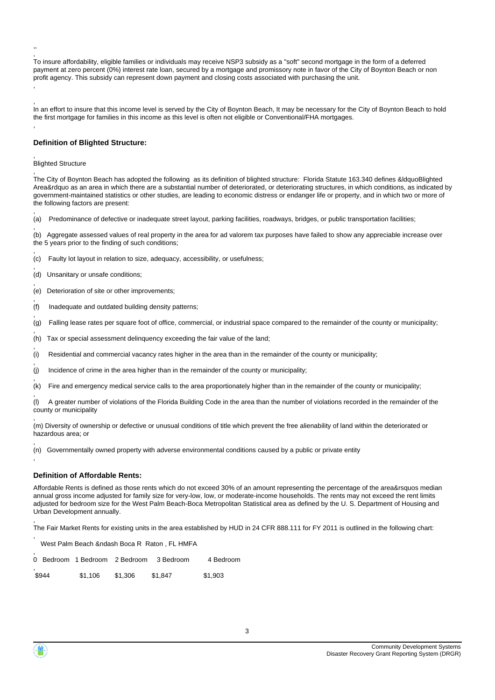, To insure affordability, eligible families or individuals may receive NSP3 subsidy as a "soft" second mortgage in the form of a deferred payment at zero percent (0%) interest rate loan, secured by a mortgage and promissory note in favor of the City of Boynton Beach or non profit agency. This subsidy can represent down payment and closing costs associated with purchasing the unit. ,

, In an effort to insure that this income level is served by the City of Boynton Beach, It may be necessary for the City of Boynton Beach to hold the first mortgage for families in this income as this level is often not eligible or Conventional/FHA mortgages.

#### **Definition of Blighted Structure:**

#### , Blighted Structure

,,

,

,

,

,

,

,

,

,

,

,

,

,

The City of Boynton Beach has adopted the following as its definition of blighted structure: Florida Statute 163.340 defines &ldquoBlighted Area&rdquo as an area in which there are a substantial number of deteriorated, or deteriorating structures, in which conditions, as indicated by government-maintained statistics or other studies, are leading to economic distress or endanger life or property, and in which two or more of the following factors are present:

, (a) Predominance of defective or inadequate street layout, parking facilities, roadways, bridges, or public transportation facilities;

(b) Aggregate assessed values of real property in the area for ad valorem tax purposes have failed to show any appreciable increase over the 5 years prior to the finding of such conditions;

- , (c) Faulty lot layout in relation to size, adequacy, accessibility, or usefulness;
- (d) Unsanitary or unsafe conditions;
- , (e) Deterioration of site or other improvements;
- (f) Inadequate and outdated building density patterns;
- , (g) Falling lease rates per square foot of office, commercial, or industrial space compared to the remainder of the county or municipality;
- (h) Tax or special assessment delinquency exceeding the fair value of the land;
- , (i) Residential and commercial vacancy rates higher in the area than in the remainder of the county or municipality;
- (j) Incidence of crime in the area higher than in the remainder of the county or municipality;
- , (k) Fire and emergency medical service calls to the area proportionately higher than in the remainder of the county or municipality;

(l) A greater number of violations of the Florida Building Code in the area than the number of violations recorded in the remainder of the county or municipality

(m) Diversity of ownership or defective or unusual conditions of title which prevent the free alienability of land within the deteriorated or hazardous area; or

, (n) Governmentally owned property with adverse environmental conditions caused by a public or private entity

#### **Definition of Affordable Rents:**

Affordable Rents is defined as those rents which do not exceed 30% of an amount representing the percentage of the area&rsquos median annual gross income adjusted for family size for very-low, low, or moderate-income households. The rents may not exceed the rent limits adjusted for bedroom size for the West Palm Beach-Boca Metropolitan Statistical area as defined by the U. S. Department of Housing and Urban Development annually.

The Fair Market Rents for existing units in the area established by HUD in 24 CFR 888.111 for FY 2011 is outlined in the following chart:

West Palm Beach &ndash Boca R Raton , FL HMFA

|       | 0 Bedroom 1 Bedroom 2 Bedroom |         | 3 Bedroom | 4 Bedroom |
|-------|-------------------------------|---------|-----------|-----------|
| \$944 | \$1.106                       | \$1,306 | \$1.847   | \$1.903   |



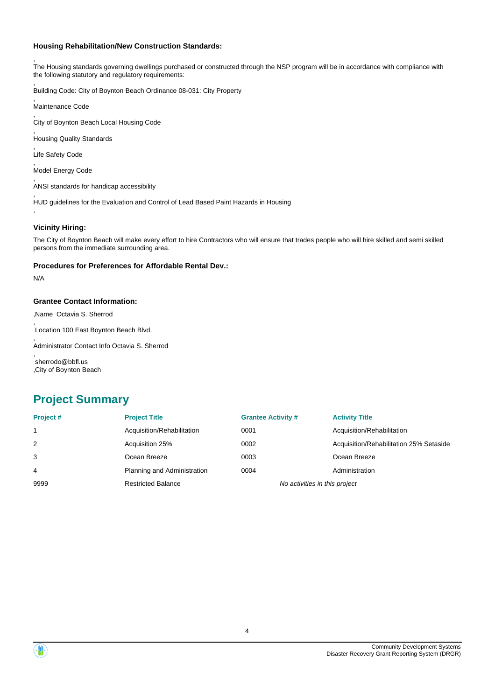#### **Housing Rehabilitation/New Construction Standards:**

, The Housing standards governing dwellings purchased or constructed through the NSP program will be in accordance with compliance with the following statutory and regulatory requirements:

Building Code: City of Boynton Beach Ordinance 08-031: City Property

, Maintenance Code

,

, City of Boynton Beach Local Housing Code

, Housing Quality Standards

, Life Safety Code

, Model Energy Code

, ANSI standards for handicap accessibility

, HUD guidelines for the Evaluation and Control of Lead Based Paint Hazards in Housing

#### **Vicinity Hiring:**

The City of Boynton Beach will make every effort to hire Contractors who will ensure that trades people who will hire skilled and semi skilled persons from the immediate surrounding area.

#### **Procedures for Preferences for Affordable Rental Dev.:**

N/A

,

#### **Grantee Contact Information:**

,Name Octavia S. Sherrod

, Location 100 East Boynton Beach Blvd.

, Administrator Contact Info Octavia S. Sherrod

, sherrodo@bbfl.us ,City of Boynton Beach

## **Project Summary**

| Project# | <b>Project Title</b>        | <b>Grantee Activity #</b>     | <b>Activity Title</b>                   |
|----------|-----------------------------|-------------------------------|-----------------------------------------|
|          | Acquisition/Rehabilitation  | 0001                          | Acquisition/Rehabilitation              |
| 2        | Acquisition 25%             | 0002                          | Acquisition/Rehabilitation 25% Setaside |
| 3        | Ocean Breeze                | 0003                          | Ocean Breeze                            |
| 4        | Planning and Administration | 0004                          | Administration                          |
| 9999     | <b>Restricted Balance</b>   | No activities in this project |                                         |

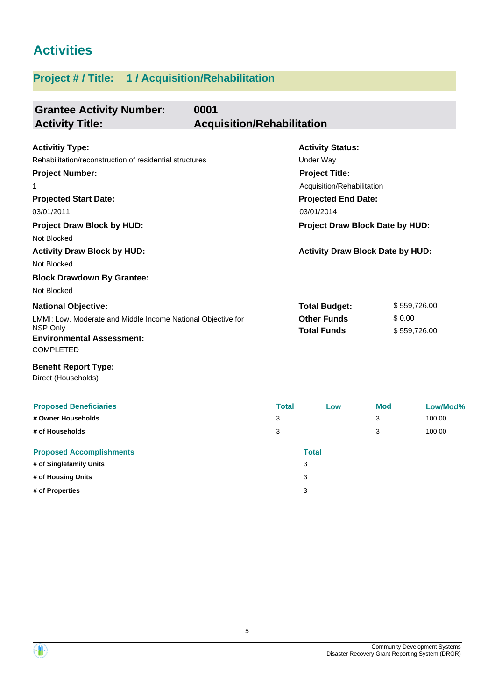# **Activities**

# **Project # / Title: 1 / Acquisition/Rehabilitation**

| <b>Grantee Activity Number:</b><br>0001<br><b>Activity Title:</b>                                                                | <b>Acquisition/Rehabilitation</b>        |                                          |            |                                 |
|----------------------------------------------------------------------------------------------------------------------------------|------------------------------------------|------------------------------------------|------------|---------------------------------|
| <b>Activitiy Type:</b>                                                                                                           |                                          | <b>Activity Status:</b>                  |            |                                 |
| Rehabilitation/reconstruction of residential structures                                                                          |                                          | <b>Under Way</b>                         |            |                                 |
| <b>Project Number:</b>                                                                                                           |                                          | <b>Project Title:</b>                    |            |                                 |
| 1                                                                                                                                |                                          | Acquisition/Rehabilitation               |            |                                 |
| <b>Projected Start Date:</b><br>03/01/2011                                                                                       | <b>Projected End Date:</b><br>03/01/2014 |                                          |            |                                 |
| <b>Project Draw Block by HUD:</b><br>Not Blocked                                                                                 |                                          |                                          |            | Project Draw Block Date by HUD: |
| <b>Activity Draw Block by HUD:</b><br>Not Blocked                                                                                |                                          | <b>Activity Draw Block Date by HUD:</b>  |            |                                 |
| <b>Block Drawdown By Grantee:</b><br>Not Blocked                                                                                 |                                          |                                          |            |                                 |
| <b>National Objective:</b>                                                                                                       |                                          | <b>Total Budget:</b>                     |            | \$559,726.00                    |
| LMMI: Low, Moderate and Middle Income National Objective for<br>NSP Only<br><b>Environmental Assessment:</b><br><b>COMPLETED</b> |                                          | <b>Other Funds</b><br><b>Total Funds</b> | \$0.00     | \$559,726.00                    |
| <b>Benefit Report Type:</b><br>Direct (Households)                                                                               |                                          |                                          |            |                                 |
| <b>Proposed Beneficiaries</b>                                                                                                    | <b>Total</b>                             | Low                                      | <b>Mod</b> | Low/Mod%                        |
| # Owner Households                                                                                                               | 3                                        |                                          | 3          | 100.00                          |
| # of Households                                                                                                                  | 3                                        |                                          | 3          | 100.00                          |
| <b>Proposed Accomplishments</b>                                                                                                  |                                          | <b>Total</b>                             |            |                                 |
| # of Singlefamily Units                                                                                                          |                                          | 3                                        |            |                                 |
| # of Housing Units                                                                                                               |                                          | 3                                        |            |                                 |

**# of Properties** 3

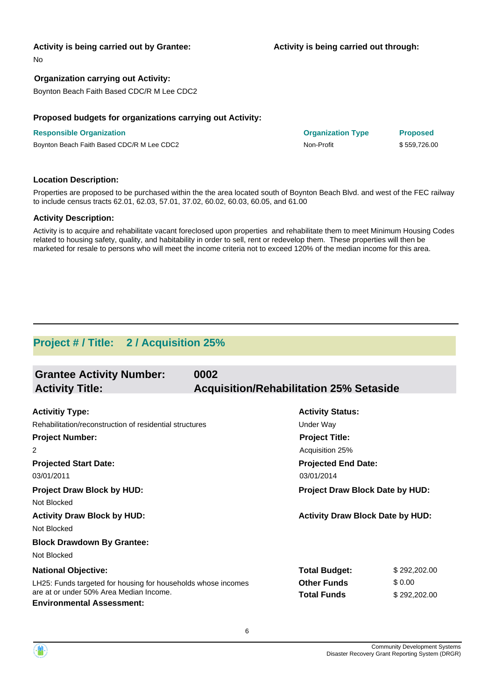#### **Activity is being carried out by Grantee:**

**Activity is being carried out through:**

No

### **Organization carrying out Activity:**

Boynton Beach Faith Based CDC/R M Lee CDC2

#### **Proposed budgets for organizations carrying out Activity:**

**Responsible Organization Organization Type Proposed** Boynton Beach Faith Based CDC/R M Lee CDC2 Non-Profit Non-Profit \$ 559,726.00

#### **Location Description:**

Properties are proposed to be purchased within the the area located south of Boynton Beach Blvd. and west of the FEC railway to include census tracts 62.01, 62.03, 57.01, 37.02, 60.02, 60.03, 60.05, and 61.00

#### **Activity Description:**

Activity is to acquire and rehabilitate vacant foreclosed upon properties and rehabilitate them to meet Minimum Housing Codes related to housing safety, quality, and habitability in order to sell, rent or redevelop them. These properties will then be marketed for resale to persons who will meet the income criteria not to exceed 120% of the median income for this area.

## **Project # / Title: 2 / Acquisition 25%**

| <b>Grantee Activity Number:</b><br><b>Activity Title:</b>                   | 0002<br><b>Acquisition/Rehabilitation 25% Setaside</b> |                                         |              |
|-----------------------------------------------------------------------------|--------------------------------------------------------|-----------------------------------------|--------------|
|                                                                             |                                                        |                                         |              |
| <b>Activitiy Type:</b>                                                      |                                                        | <b>Activity Status:</b>                 |              |
| Rehabilitation/reconstruction of residential structures                     |                                                        | Under Way                               |              |
| <b>Project Number:</b>                                                      |                                                        | <b>Project Title:</b>                   |              |
| 2                                                                           |                                                        | Acquisition 25%                         |              |
| <b>Projected Start Date:</b>                                                |                                                        | <b>Projected End Date:</b>              |              |
| 03/01/2011                                                                  |                                                        | 03/01/2014                              |              |
| <b>Project Draw Block by HUD:</b>                                           |                                                        | Project Draw Block Date by HUD:         |              |
| Not Blocked                                                                 |                                                        |                                         |              |
| <b>Activity Draw Block by HUD:</b>                                          |                                                        | <b>Activity Draw Block Date by HUD:</b> |              |
| Not Blocked                                                                 |                                                        |                                         |              |
| <b>Block Drawdown By Grantee:</b>                                           |                                                        |                                         |              |
| Not Blocked                                                                 |                                                        |                                         |              |
| <b>National Objective:</b>                                                  |                                                        | <b>Total Budget:</b>                    | \$292,202.00 |
| LH25: Funds targeted for housing for households whose incomes               |                                                        | <b>Other Funds</b>                      | \$0.00       |
| are at or under 50% Area Median Income.<br><b>Environmental Assessment:</b> |                                                        | <b>Total Funds</b>                      | \$292,202.00 |

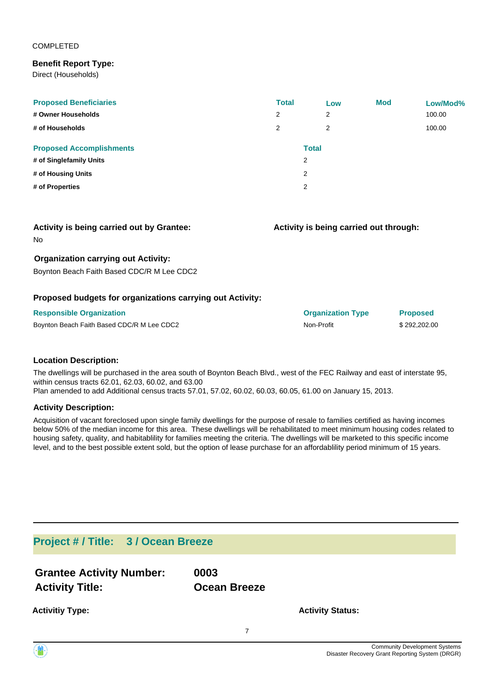#### COMPLETED

### **Benefit Report Type:**

Direct (Households)

| <b>Proposed Beneficiaries</b><br># Owner Households<br># of Households | <b>Total</b><br>2<br>2 | Low<br>2<br>$\overline{2}$ | <b>Mod</b> | Low/Mod%<br>100.00<br>100.00 |
|------------------------------------------------------------------------|------------------------|----------------------------|------------|------------------------------|
| <b>Proposed Accomplishments</b>                                        |                        | <b>Total</b>               |            |                              |
| # of Singlefamily Units                                                |                        | 2                          |            |                              |
| # of Housing Units                                                     |                        | 2                          |            |                              |
| # of Properties                                                        |                        | $\overline{2}$             |            |                              |

| <b>Activity is being carried out by Grantee:</b> |  |  |  |  |  |  |
|--------------------------------------------------|--|--|--|--|--|--|
|--------------------------------------------------|--|--|--|--|--|--|

#### No

### **Organization carrying out Activity:**

Boynton Beach Faith Based CDC/R M Lee CDC2

### **Proposed budgets for organizations carrying out Activity:**

| <b>Responsible Organization</b>            | <b>Organization Type</b> | <b>Proposed</b> |
|--------------------------------------------|--------------------------|-----------------|
| Boynton Beach Faith Based CDC/R M Lee CDC2 | Non-Profit               | \$292,202,00    |

#### **Location Description:**

The dwellings will be purchased in the area south of Boynton Beach Blvd., west of the FEC Railway and east of interstate 95, within census tracts 62.01, 62.03, 60.02, and 63.00 Plan amended to add Additional census tracts 57.01, 57.02, 60.02, 60.03, 60.05, 61.00 on January 15, 2013.

#### **Activity Description:**

Acquisition of vacant foreclosed upon single family dwellings for the purpose of resale to families certified as having incomes below 50% of the median income for this area. These dwellings will be rehabilitated to meet minimum housing codes related to housing safety, quality, and habitablility for families meeting the criteria. The dwellings will be marketed to this specific income level, and to the best possible extent sold, but the option of lease purchase for an affordablility period minimum of 15 years.

## **Project # / Title: 3 / Ocean Breeze**

| <b>Grantee Activity Number:</b> | 0003                |
|---------------------------------|---------------------|
| <b>Activity Title:</b>          | <b>Ocean Breeze</b> |

**Activitiy Type:**

**Activity Status:**

**Activity is being carried out through:**

7

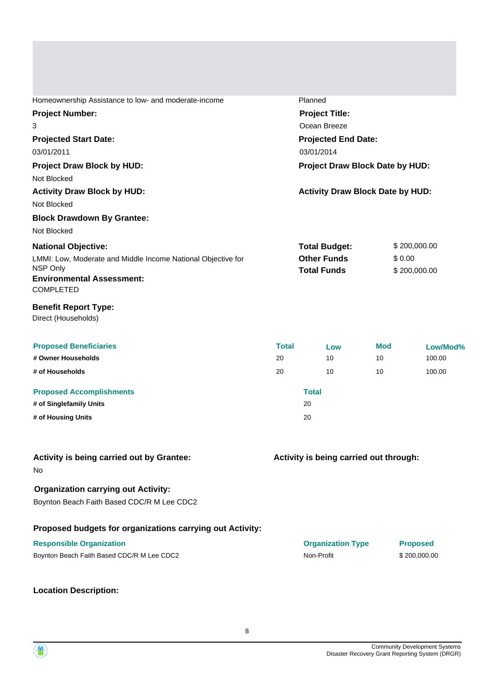| Homeownership Assistance to low- and moderate-income                                                   |                                 | Planned                                                          |            |                                        |  |
|--------------------------------------------------------------------------------------------------------|---------------------------------|------------------------------------------------------------------|------------|----------------------------------------|--|
| <b>Project Number:</b>                                                                                 | <b>Project Title:</b>           |                                                                  |            |                                        |  |
| 3                                                                                                      |                                 | Ocean Breeze                                                     |            |                                        |  |
| <b>Projected Start Date:</b>                                                                           |                                 | <b>Projected End Date:</b>                                       |            |                                        |  |
| 03/01/2011                                                                                             |                                 | 03/01/2014                                                       |            |                                        |  |
| Project Draw Block by HUD:<br>Not Blocked                                                              | Project Draw Block Date by HUD: |                                                                  |            |                                        |  |
| <b>Activity Draw Block by HUD:</b><br><b>Activity Draw Block Date by HUD:</b><br>Not Blocked           |                                 |                                                                  |            |                                        |  |
| <b>Block Drawdown By Grantee:</b>                                                                      |                                 |                                                                  |            |                                        |  |
| Not Blocked                                                                                            |                                 |                                                                  |            |                                        |  |
| <b>National Objective:</b><br>LMMI: Low, Moderate and Middle Income National Objective for<br>NSP Only |                                 | <b>Total Budget:</b><br><b>Other Funds</b><br><b>Total Funds</b> |            | \$200,000.00<br>\$0.00<br>\$200,000.00 |  |
| <b>Environmental Assessment:</b><br><b>COMPLETED</b>                                                   |                                 |                                                                  |            |                                        |  |
| <b>Benefit Report Type:</b><br>Direct (Households)                                                     |                                 |                                                                  |            |                                        |  |
| <b>Proposed Beneficiaries</b>                                                                          | <b>Total</b>                    | Low                                                              | <b>Mod</b> | Low/Mod%                               |  |
| # Owner Households                                                                                     | 20                              | 10                                                               | 10         | 100.00                                 |  |
| # of Households                                                                                        | 20                              | 10                                                               | 10         | 100.00                                 |  |
| <b>Proposed Accomplishments</b>                                                                        |                                 | <b>Total</b>                                                     |            |                                        |  |
| # of Singlefamily Units                                                                                |                                 | 20                                                               |            |                                        |  |
| # of Housing Units                                                                                     |                                 | 20                                                               |            |                                        |  |
| Activity is being carried out by Grantee:<br>No                                                        |                                 | Activity is being carried out through:                           |            |                                        |  |
| <b>Organization carrying out Activity:</b><br>Boynton Beach Faith Based CDC/R M Lee CDC2               |                                 |                                                                  |            |                                        |  |
| Proposed budgets for organizations carrying out Activity:                                              |                                 |                                                                  |            |                                        |  |
| <b>Responsible Organization</b><br>Boynton Beach Faith Based CDC/R M Lee CDC2                          |                                 | <b>Organization Type</b><br>Non-Profit                           |            | <b>Proposed</b><br>\$200,000.00        |  |
| <b>Location Description:</b>                                                                           |                                 |                                                                  |            |                                        |  |

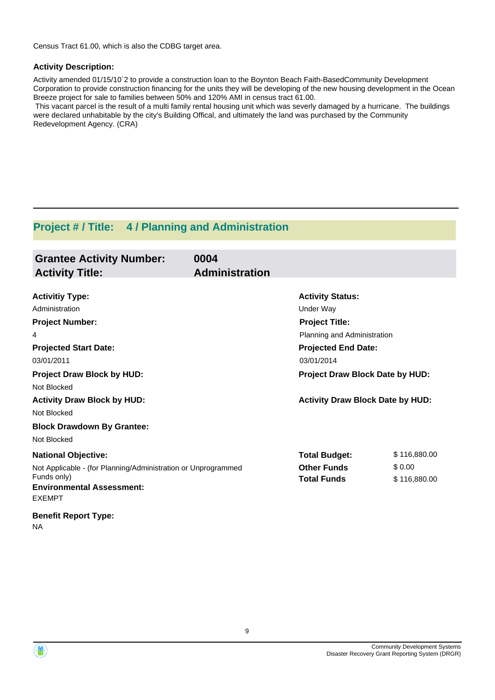Census Tract 61.00, which is also the CDBG target area.

### **Activity Description:**

Activity amended 01/15/10`2 to provide a construction loan to the Boynton Beach Faith-BasedCommunity Development Corporation to provide construction financing for the units they will be developing of the new housing development in the Ocean Breeze project for sale to families between 50% and 120% AMI in census tract 61.00.

 This vacant parcel is the result of a multi family rental housing unit which was severly damaged by a hurricane. The buildings were declared unhabitable by the city's Building Offical, and ultimately the land was purchased by the Community Redevelopment Agency. (CRA)

## **Project # / Title: 4 / Planning and Administration**

| <b>Grantee Activity Number:</b>                               | 0004                  |                                         |              |
|---------------------------------------------------------------|-----------------------|-----------------------------------------|--------------|
| <b>Activity Title:</b>                                        | <b>Administration</b> |                                         |              |
| <b>Activitiy Type:</b>                                        |                       | <b>Activity Status:</b>                 |              |
| Administration                                                |                       | Under Way                               |              |
| <b>Project Number:</b>                                        |                       | <b>Project Title:</b>                   |              |
| 4                                                             |                       | Planning and Administration             |              |
| <b>Projected Start Date:</b>                                  |                       | <b>Projected End Date:</b>              |              |
| 03/01/2011                                                    |                       | 03/01/2014                              |              |
| <b>Project Draw Block by HUD:</b>                             |                       | Project Draw Block Date by HUD:         |              |
| Not Blocked                                                   |                       |                                         |              |
| <b>Activity Draw Block by HUD:</b>                            |                       | <b>Activity Draw Block Date by HUD:</b> |              |
| Not Blocked                                                   |                       |                                         |              |
| <b>Block Drawdown By Grantee:</b>                             |                       |                                         |              |
| Not Blocked                                                   |                       |                                         |              |
| <b>National Objective:</b>                                    |                       | <b>Total Budget:</b>                    | \$116,880.00 |
| Not Applicable - (for Planning/Administration or Unprogrammed |                       | <b>Other Funds</b>                      | \$0.00       |
| Funds only)                                                   |                       | <b>Total Funds</b>                      | \$116,880.00 |
| <b>Environmental Assessment:</b><br><b>EXEMPT</b>             |                       |                                         |              |
| <b>Benefit Report Type:</b>                                   |                       |                                         |              |
| ΝA                                                            |                       |                                         |              |



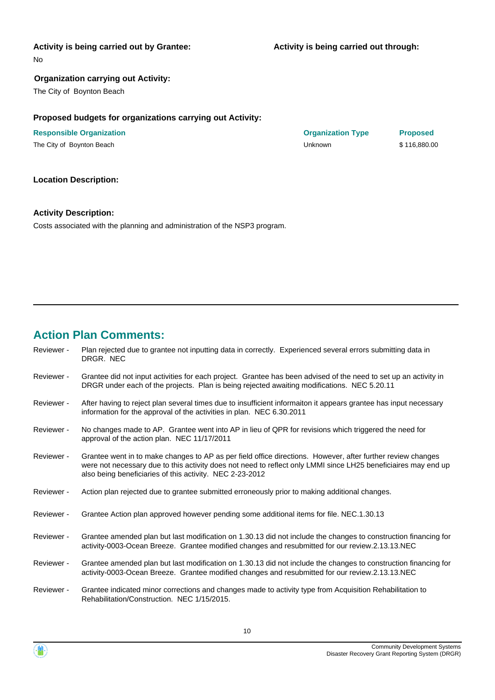#### **Activity is being carried out by Grantee:**

No

### **Organization carrying out Activity:**

The City of Boynton Beach

#### **Proposed budgets for organizations carrying out Activity:**

| <b>Responsible Organization</b> | <b>Organization Type</b> | <b>Proposed</b> |
|---------------------------------|--------------------------|-----------------|
| The City of Boynton Beach       | Unknown                  | \$116,880.00    |

#### **Location Description:**

#### **Activity Description:**

Costs associated with the planning and administration of the NSP3 program.

## **Action Plan Comments:**

- Plan rejected due to grantee not inputting data in correctly. Experienced several errors submitting data in DRGR. NEC Reviewer -
- Grantee did not input activities for each project. Grantee has been advised of the need to set up an activity in DRGR under each of the projects. Plan is being rejected awaiting modifications. NEC 5.20.11 Reviewer -
- After having to reject plan several times due to insufficient informaiton it appears grantee has input necessary information for the approval of the activities in plan. NEC 6.30.2011 Reviewer -
- No changes made to AP. Grantee went into AP in lieu of QPR for revisions which triggered the need for approval of the action plan. NEC 11/17/2011 Reviewer -
- Grantee went in to make changes to AP as per field office directions. However, after further review changes were not necessary due to this activity does not need to reflect only LMMI since LH25 beneficiaires may end up also being beneficiaries of this activity. NEC 2-23-2012 Reviewer -
- Reviewer Action plan rejected due to grantee submitted erroneously prior to making additional changes.
- Reviewer Grantee Action plan approved however pending some additional items for file. NEC.1.30.13
- Grantee amended plan but last modification on 1.30.13 did not include the changes to construction financing for activity-0003-Ocean Breeze. Grantee modified changes and resubmitted for our review.2.13.13.NEC Reviewer -
- Grantee amended plan but last modification on 1.30.13 did not include the changes to construction financing for activity-0003-Ocean Breeze. Grantee modified changes and resubmitted for our review.2.13.13.NEC Reviewer -
- Grantee indicated minor corrections and changes made to activity type from Acquisition Rehabilitation to Rehabilitation/Construction. NEC 1/15/2015. Reviewer -